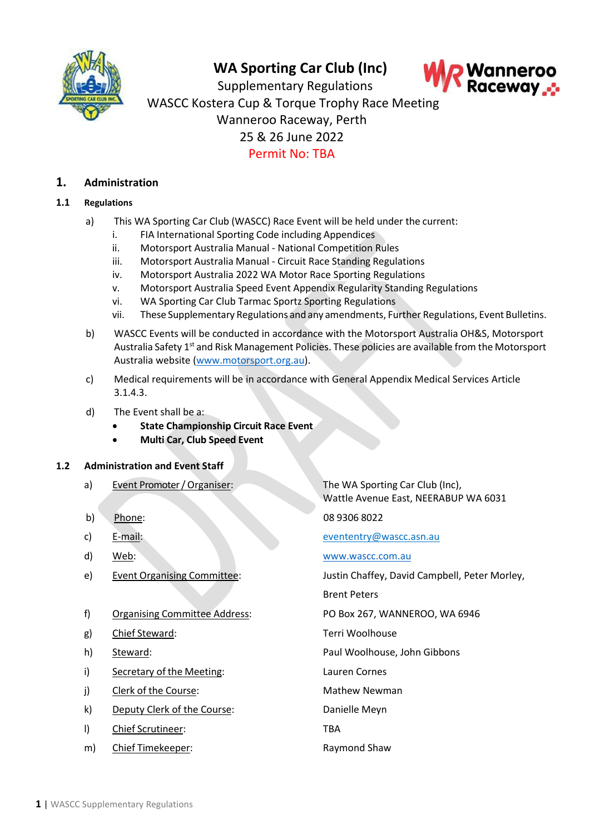

# **WA Sporting Car Club (Inc)**



Supplementary Regulations WASCC Kostera Cup & Torque Trophy Race Meeting Wanneroo Raceway, Perth 25 & 26 June 2022 Permit No: TBA

## **1. Administration**

## **1.1 Regulations**

- a) This WA Sporting Car Club (WASCC) Race Event will be held under the current:
	- i. FIA International Sporting Code including Appendices
	- ii. Motorsport Australia Manual National Competition Rules
	- iii. Motorsport Australia Manual Circuit Race Standing Regulations
	- iv. Motorsport Australia 2022 [WA](https://motorsport.org.au/docs/default-source/sporting-technical/wa/2021/2021-wa-historic-racing-and-sports-car-series-standing-regulations.pdf?sfvrsn=27b3ec24_4) Motor Race Sporting Regulations
	- v. Motorsport Australia Speed Event Appendix Regularity Standing Regulations
	- vi. WA Sporting Car Club Tarmac Sportz Sporting Regulations
	- vii. These Supplementary Regulations and any amendments, Further Regulations, Event Bulletins.
- b) WASCC Events will be conducted in accordance with the Motorsport Australia OH&S, Motorsport Australia Safety 1<sup>st</sup> and Risk Management Policies. These policies are available from the Motorsport Australia website [\(www.motorsport.org.au\)](http://www.motorsport.org.au/).
- c) Medical requirements will be in accordance with General Appendix Medical Services Article 3.1.4.3.
- d) The Event shall be a:
	- **State Championship Circuit Race Event**
	- **Multi Car, Club Speed Event**

### **1.2 Administration and Event Staff**

- a) Event Promoter / Organiser: The WA Sporting Car Club (Inc),
- 
- 
- 
- 
- f) Organising Committee Address: PO Box 267, WANNEROO, WA 6946
- g) Chief Steward: Terri Woolhouse
- 
- i) Secretary of the Meeting: Lauren Cornes
- j) Clerk of the Course: Mathew Newman
- k) Deputy Clerk of the Course: Danielle Meyn
- l) Chief Scrutineer: TBA
- m) Chief Timekeeper: Raymond Shaw

Wattle Avenue East, NEERABUP WA 6031

b) Phone: 08 9306 8022

c) E-mail: [evententry@wascc.asn.au](mailto:evententry@wascc.asn.au)

d) Web: [www.wascc.com.au](http://www.wascc.com.au/)

e) Event Organising Committee: Justin Chaffey, David Campbell, Peter Morley,

Brent Peters

h) Steward: Paul Woolhouse, John Gibbons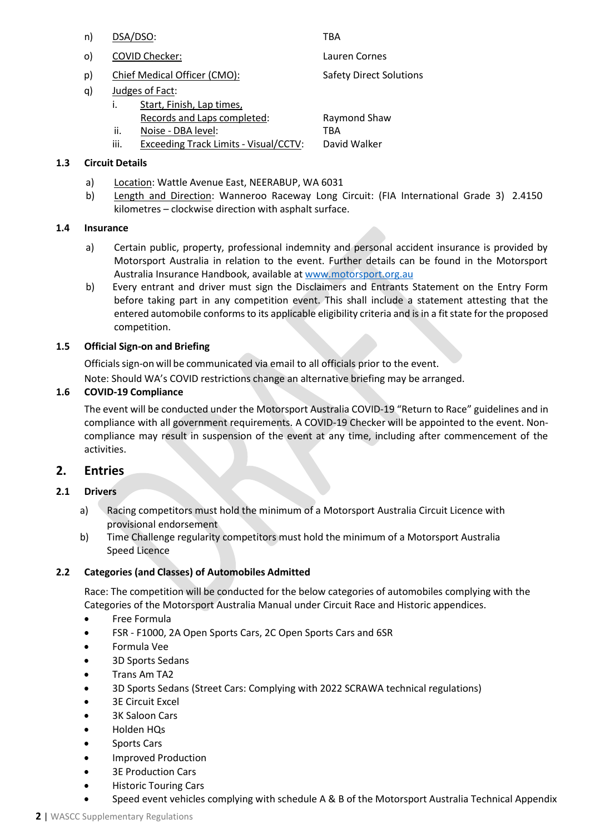- n) DSA/DSO: TBA
- o) COVID Checker: Lauren Cornes
- p) Chief Medical Officer (CMO): Safety Direct Solutions
- q) Judges of Fact:
	- i. Start, Finish, Lap times, Records and Laps completed: Raymond Shaw ii. Noise - DBA level: TBA
	- iii. Exceeding Track Limits Visual/CCTV: David Walker

## **1.3 Circuit Details**

- a) Location: Wattle Avenue East, NEERABUP, WA 6031
- b) Length and Direction: Wanneroo Raceway Long Circuit: (FIA International Grade 3) 2.4150 kilometres – clockwise direction with asphalt surface.

## **1.4 Insurance**

- a) Certain public, property, professional indemnity and personal accident insurance is provided by Motorsport Australia in relation to the event. Further details can be found in the Motorsport Australia Insurance Handbook, available at [www.motorsport.org.au](http://www.motorsport.org.au/)
- b) Every entrant and driver must sign the Disclaimers and Entrants Statement on the Entry Form before taking part in any competition event. This shall include a statement attesting that the entered automobile conforms to its applicable eligibility criteria and is in a fit state for the proposed competition.

## **1.5 Official Sign-on and Briefing**

Officials sign-on will be communicated via email to all officials prior to the event.

Note: Should WA's COVID restrictions change an alternative briefing may be arranged.

## **1.6 COVID-19 Compliance**

The event will be conducted under the Motorsport Australia COVID-19 "Return to Race" guidelines and in compliance with all government requirements. A COVID-19 Checker will be appointed to the event. Noncompliance may result in suspension of the event at any time, including after commencement of the activities.

## **2. Entries**

## **2.1 Drivers**

- a) Racing competitors must hold the minimum of a Motorsport Australia Circuit Licence with provisional endorsement
- b) Time Challenge regularity competitors must hold the minimum of a Motorsport Australia Speed Licence

## **2.2 Categories (and Classes) of Automobiles Admitted**

Race: The competition will be conducted for the below categories of automobiles complying with the Categories of the Motorsport Australia Manual under Circuit Race and Historic appendices.

- Free Formula
- FSR F1000, 2A Open Sports Cars, 2C Open Sports Cars and 6SR
- Formula Vee
- 3D Sports Sedans
- Trans Am TA2
- 3D Sports Sedans (Street Cars: Complying with 2022 SCRAWA technical regulations)
- **3E Circuit Excel**
- 3K Saloon Cars
- Holden HQs
- Sports Cars
- Improved Production
- 3E Production Cars
- Historic Touring Cars
- Speed event vehicles complying with schedule A & B of the Motorsport Australia Technical Appendix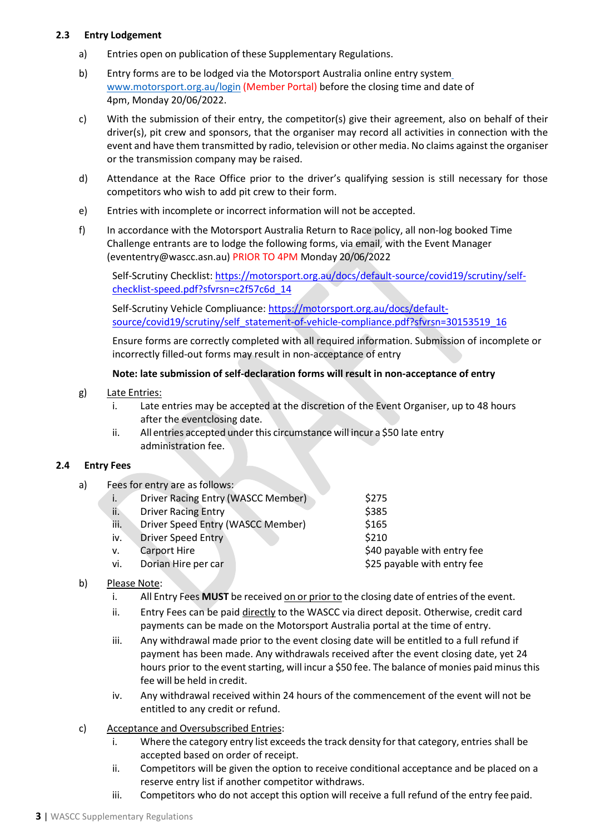## **2.3 Entry Lodgement**

- a) Entries open on publication of these Supplementary Regulations.
- b) Entry forms are to be lodged via the Motorsport Australia online entry system [www.motorsport.org.au/login](http://www.motorsport.org.au/login) (Member Portal) before the closing time and date of 4pm, Monday 20/06/2022.
- c) With the submission of their entry, the competitor(s) give their agreement, also on behalf of their driver(s), pit crew and sponsors, that the organiser may record all activities in connection with the event and have them transmitted by radio, television or other media. No claims against the organiser or the transmission company may be raised.
- d) Attendance at the Race Office prior to the driver's qualifying session is still necessary for those competitors who wish to add pit crew to their form.
- e) Entries with incomplete or incorrect information will not be accepted.
- f) In accordance with the Motorsport Australia Return to Race policy, all non-log booked Time Challenge entrants are to lodge the following forms, via email, with the Event Manager (evententry@wascc.asn.au) PRIOR TO 4PM Monday 20/06/2022

Self-Scrutiny Checklist: [https://motorsport.org.au/docs/default-source/covid19/scrutiny/self](https://motorsport.org.au/docs/default-source/covid19/scrutiny/self-checklist-speed.pdf?sfvrsn=c2f57c6d_14)[checklist-speed.pdf?sfvrsn=c2f57c6d\\_14](https://motorsport.org.au/docs/default-source/covid19/scrutiny/self-checklist-speed.pdf?sfvrsn=c2f57c6d_14)

Self-Scrutiny Vehicle Compliuance: https://motorsport.org.au/docs/defaultsource/covid19/scrutiny/self\_statement-of-vehicle-compliance.pdf?sfvrsn=30153519\_16

Ensure forms are correctly completed with all required information. Submission of incomplete or incorrectly filled-out forms may result in non-acceptance of entry

## **Note: late submission of self-declaration forms will result in non-acceptance of entry**

- g) Late Entries:
	- i. Late entries may be accepted at the discretion of the Event Organiser, up to 48 hours after the eventclosing date.
	- ii. All entries accepted under this circumstance will incur a \$50 late entry administration fee.

## **2.4 Entry Fees**

a) Fees for entry are as follows: i. Driver Racing Entry (WASCC Member) \$275 ii. Driver Racing Entry \$385 iii. Driver Speed Entry (WASCC Member) \$165 iv. Driver Speed Entry \$210 v. Carport Hire  $\overline{a}$  and  $\overline{a}$  same  $\overline{a}$  and  $\overline{a}$  same  $\overline{a}$  same  $\overline{a}$  and  $\overline{a}$  same  $\overline{a}$  and  $\overline{a}$  and  $\overline{a}$  same  $\overline{a}$  and  $\overline{a}$  and  $\overline{a}$  and  $\overline{a}$  and  $\overline{a}$  and  $\overline{a$ vi. Dorian Hire per car **but a set of the Solution Section** S25 payable with entry fee

## b) Please Note:

- i. All Entry Fees **MUST** be received on or prior to the closing date of entries of the event.
- ii. Entry Fees can be paid directly to the WASCC via direct deposit. Otherwise, credit card payments can be made on the Motorsport Australia portal at the time of entry.
- iii. Any withdrawal made prior to the event closing date will be entitled to a full refund if payment has been made. Any withdrawals received after the event closing date, yet 24 hours prior to the event starting, will incur a \$50 fee. The balance of monies paid minus this fee will be held in credit.
- iv. Any withdrawal received within 24 hours of the commencement of the event will not be entitled to any credit or refund.
- c) Acceptance and Oversubscribed Entries:
	- i. Where the category entry list exceeds the track density for that category, entries shall be accepted based on order of receipt.
	- ii. Competitors will be given the option to receive conditional acceptance and be placed on a reserve entry list if another competitor withdraws.
	- iii. Competitors who do not accept this option will receive a full refund of the entry fee paid.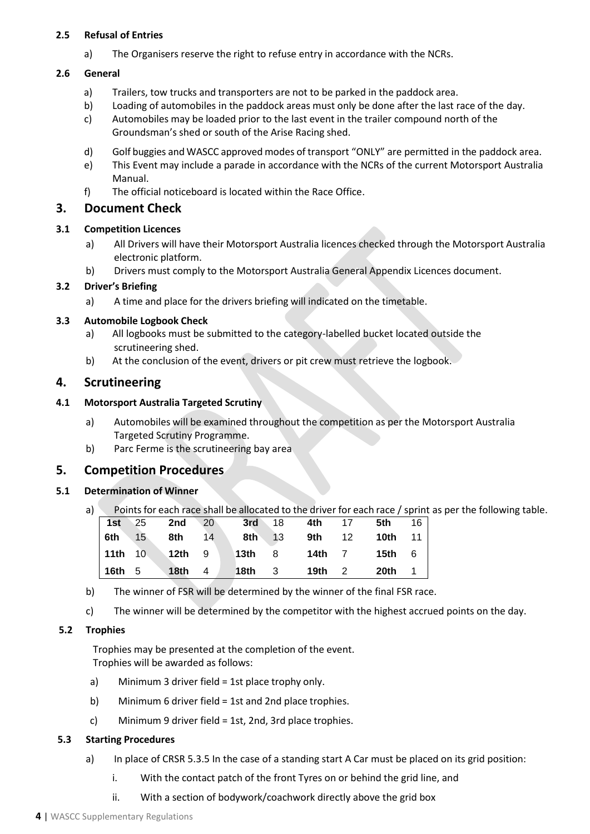## **2.5 Refusal of Entries**

a) The Organisers reserve the right to refuse entry in accordance with the NCRs.

## **2.6 General**

- a) Trailers, tow trucks and transporters are not to be parked in the paddock area.
- b) Loading of automobiles in the paddock areas must only be done after the last race of the day.
- c) Automobiles may be loaded prior to the last event in the trailer compound north of the Groundsman's shed or south of the Arise Racing shed.
- d) Golf buggies and WASCC approved modes of transport "ONLY" are permitted in the paddock area.
- e) This Event may include a parade in accordance with the NCRs of the current Motorsport Australia Manual.
- f) The official noticeboard is located within the Race Office.

## **3. Document Check**

## **3.1 Competition Licences**

- a) All Drivers will have their Motorsport Australia licences checked through the Motorsport Australia electronic platform.
- b) Drivers must comply to the Motorsport Australia General Appendix Licences document.

## **3.2 Driver's Briefing**

a) A time and place for the drivers briefing will indicated on the timetable.

## **3.3 Automobile Logbook Check**

- a) All logbooks must be submitted to the category-labelled bucket located outside the scrutineering shed.
- b) At the conclusion of the event, drivers or pit crew must retrieve the logbook.

## **4. Scrutineering**

## **4.1 Motorsport Australia Targeted Scrutiny**

- a) Automobiles will be examined throughout the competition as per the Motorsport Australia Targeted Scrutiny Programme.
- b) Parc Ferme is the scrutineering bay area

## **5. Competition Procedures**

## **5.1 Determination of Winner**

a) Points for each race shall be allocated to the driver for each race / sprint as per the following table.

|               | $1st$ 25 2nd 20 |  |  | <b>3rd</b> 18 <b>4th</b> 17 <b>5th</b> 16  |  |
|---------------|-----------------|--|--|--------------------------------------------|--|
| <b>6th</b> 15 | <b>8th</b> 14   |  |  | <b>8th</b> 13 <b>9th</b> 12 <b>10th</b> 11 |  |
|               | 11th 10 12th 9  |  |  | 13th 8 14th 7 15th 6                       |  |
|               |                 |  |  | 16th 5   18th 4   18th 3   19th 2   20th 1 |  |

- b) The winner of FSR will be determined by the winner of the final FSR race.
- c) The winner will be determined by the competitor with the highest accrued points on the day.

## **5.2 Trophies**

Trophies may be presented at the completion of the event. Trophies will be awarded as follows:

- a) Minimum 3 driver field = 1st place trophy only.
- b) Minimum 6 driver field = 1st and 2nd place trophies.
- c) Minimum 9 driver field = 1st, 2nd, 3rd place trophies.

## **5.3 Starting Procedures**

- a) In place of CRSR 5.3.5 In the case of a standing start A Car must be placed on its grid position:
	- i. With the contact patch of the front Tyres on or behind the grid line, and
	- ii. With a section of bodywork/coachwork directly above the grid box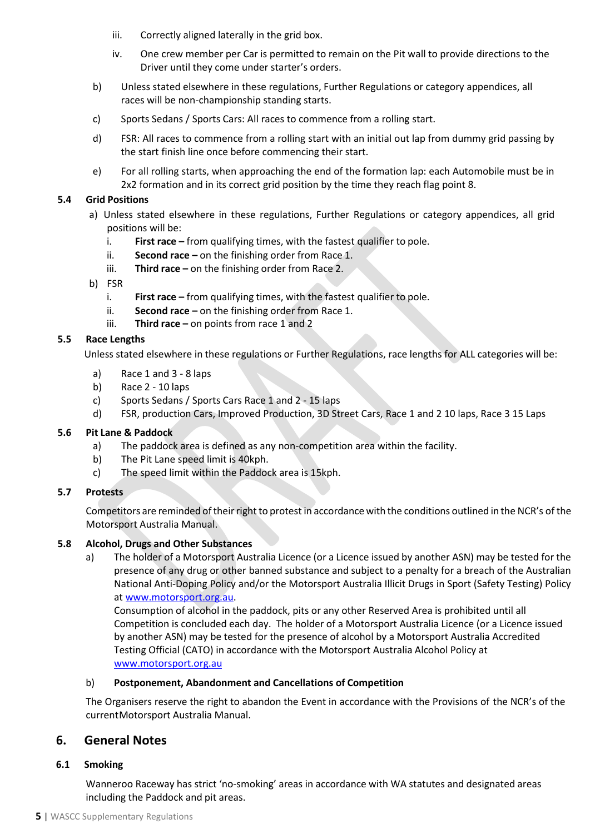- iii. Correctly aligned laterally in the grid box.
- iv. One crew member per Car is permitted to remain on the Pit wall to provide directions to the Driver until they come under starter's orders.
- b) Unless stated elsewhere in these regulations, Further Regulations or category appendices, all races will be non-championship standing starts.
- c) Sports Sedans / Sports Cars: All races to commence from a rolling start.
- d) FSR: All races to commence from a rolling start with an initial out lap from dummy grid passing by the start finish line once before commencing their start.
- e) For all rolling starts, when approaching the end of the formation lap: each Automobile must be in 2x2 formation and in its correct grid position by the time they reach flag point 8.

## **5.4 Grid Positions**

- a) Unless stated elsewhere in these regulations, Further Regulations or category appendices, all grid positions will be:
	- i. **First race –** from qualifying times, with the fastest qualifier to pole.
	- ii. **Second race –** on the finishing order from Race 1.
	- iii. **Third race –** on the finishing order from Race 2.
- b) FSR
	- i. **First race –** from qualifying times, with the fastest qualifier to pole.
	- ii. **Second race –** on the finishing order from Race 1.
	- iii. **Third race –** on points from race 1 and 2

## **5.5 Race Lengths**

Unless stated elsewhere in these regulations or Further Regulations, race lengths for ALL categories will be:

- a) Race 1 and 3 8 laps
- b) Race 2 10 laps
- c) Sports Sedans / Sports Cars Race 1 and 2 15 laps
- d) FSR, production Cars, Improved Production, 3D Street Cars, Race 1 and 2 10 laps, Race 3 15 Laps

### **5.6 Pit Lane & Paddock**

- a) The paddock area is defined as any non-competition area within the facility.
- b) The Pit Lane speed limit is 40kph.
- c) The speed limit within the Paddock area is 15kph.

### **5.7 Protests**

Competitors are reminded of their right to protest in accordance with the conditions outlined in the NCR's of the Motorsport Australia Manual.

### **5.8 Alcohol, Drugs and Other Substances**

a) The holder of a Motorsport Australia Licence (or a Licence issued by another ASN) may be tested for the presence of any drug or other banned substance and subject to a penalty for a breach of the Australian National Anti-Doping Policy and/or the Motorsport Australia Illicit Drugs in Sport (Safety Testing) Policy a[t www.motorsport.org.au.](http://www.motorsport.org.au/)

Consumption of alcohol in the paddock, pits or any other Reserved Area is prohibited until all Competition is concluded each day. The holder of a Motorsport Australia Licence (or a Licence issued by another ASN) may be tested for the presence of alcohol by a Motorsport Australia Accredited Testing Official (CATO) in accordance with the Motorsport Australia Alcohol Policy at [www.motorsport.org.au](http://www.motorsport.org.au/)

### b) **Postponement, Abandonment and Cancellations of Competition**

The Organisers reserve the right to abandon the Event in accordance with the Provisions of the NCR's of the current Motorsport Australia Manual.

## **6. General Notes**

### **6.1 Smoking**

Wanneroo Raceway has strict 'no-smoking' areas in accordance with WA statutes and designated areas including the Paddock and pit areas.